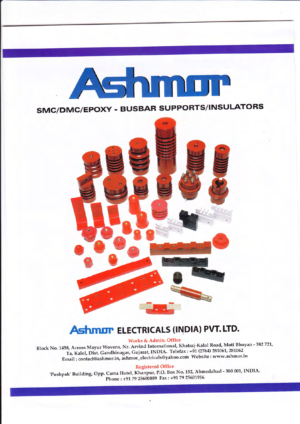

SMC/DMC/EPOXY . BUSBAR SUPPORTS/INSULATORS



# **Ashmor** ELECTRICALS (INDIA) PVT. LTD.

Works & Admin. Office

Block No. 1458, Across Mayur Wovens, Nr. Arvind International, Khatraj-Kalol Road, Moti Bhoyan - 382 721, Ta. Kalol, Dist. Gandhinagar, Gujarat, INDIA. Telefax : +91 (2764) 281061, 281062 Email: contact@ashmor.in, ashmor\_electricals@yahoo.com Website : www.ashmor.in

Registered Office

'Pushpak' Building, Opp. Cama Hotel, Khanpur, P.O. Box No. 152, Ahmedabad - 380 001, INDIA. Phone : +91 79 25600889 Fax : +91 79 25601916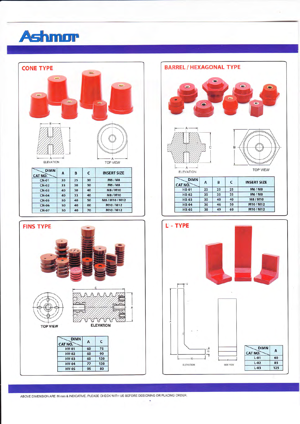





 $HV-05$ 

95



ABOVE DIMENSION ARE IN mm & INDICATIVE. PLEASE CHECK WITH US BEFORE DESIGNING OR PLACING ORDER.

80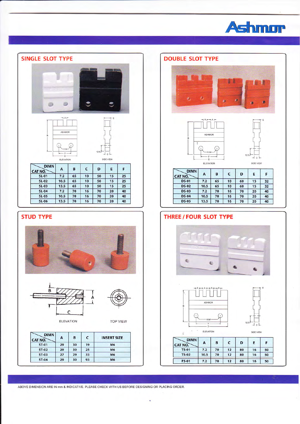



### **STUD TYPE**





**ELEVATION** 

**TOP VIEW** 

| <b>DIMN</b><br>CAT NO. | А  | B  | C  | <b>INSERT SIZE</b> |  |
|------------------------|----|----|----|--------------------|--|
| <b>ST-01</b>           | 29 | 30 | 19 | M <sub>6</sub>     |  |
| <b>ST-02</b>           | 29 | 30 | 25 | <b>M6</b>          |  |
| <b>ST-03</b>           | 27 | 29 | 33 | M <sub>6</sub>     |  |
| <b>ST-04</b>           | 29 | 30 | 93 | M <sub>6</sub>     |  |

#### **DOUBLE SLOT TYPE**







ELEVATION

|  |  | ٦ |
|--|--|---|
|  |  |   |
|  |  |   |

| <b>DIMN</b><br><b>CAT NO.</b> | А    | B  | c  | D  | E  | F  |
|-------------------------------|------|----|----|----|----|----|
| <b>DS-01</b>                  | 7.2  | 65 | 10 | 60 | 15 | 32 |
| <b>DS-02</b>                  | 10.5 | 65 | 10 | 60 | 15 | 32 |
| <b>DS-03</b>                  | 7.2  | 70 | 16 | 70 | 20 | 40 |
| <b>DS-04</b>                  | 10.5 | 70 | 16 | 70 | 20 | 40 |
| <b>DS-05</b>                  | 13.5 | 70 | 16 | 70 | 20 | 40 |

## THREE / FOUR SLOT TYPE







 $\hat{g}$ 

SIDE VIEW

| <b>DIMN</b><br>CAT NO. | А    | B  |    | D  | E  |    |
|------------------------|------|----|----|----|----|----|
| <b>TS-01</b>           | 7.2  | 70 | 12 | 80 | 16 | 50 |
| $TS-02$                | 10.5 | 70 | 12 | 80 | 16 | 50 |
| <b>FS-01</b>           | 7.2  | 70 | 12 | 80 | 16 | 50 |

ABOVE DIMENSION ARE IN mm & INDICATIVE. PLEASE CHECK WITH US BEFORE DESIGNING OR PLACING ORDER.